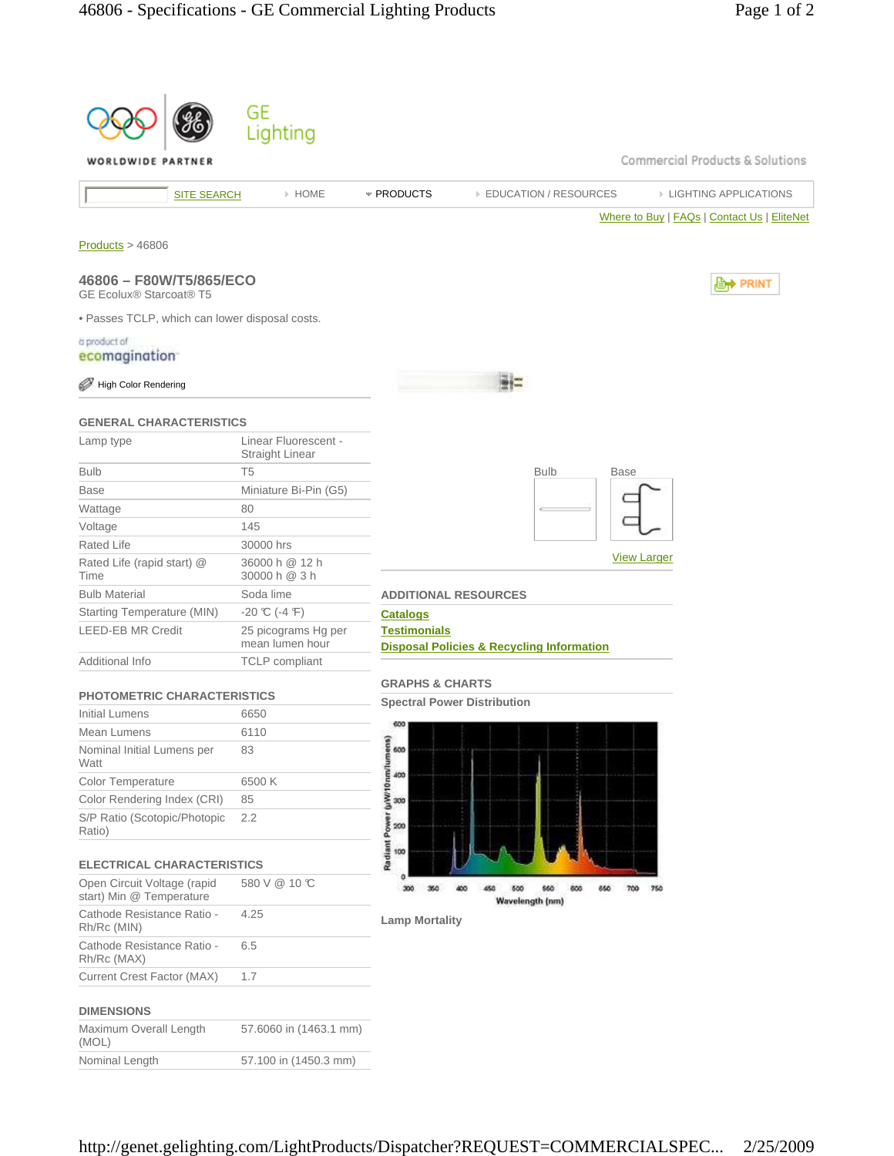|                                                           | GE                                      |                                                                             |
|-----------------------------------------------------------|-----------------------------------------|-----------------------------------------------------------------------------|
|                                                           | Lighting                                |                                                                             |
| WORLDWIDE PARTNER                                         |                                         | Commercial Products & Solutions                                             |
| <b>SITE SEARCH</b>                                        | » HOME                                  | * PRODUCTS<br><b>EDUCATION / RESOURCES</b><br><b>EIGHTING APPLICATIONS</b>  |
|                                                           |                                         | Where to Buy   FAQs   Contact Us   EliteNet                                 |
| Products > 46806                                          |                                         |                                                                             |
| 46806 - F80W/T5/865/ECO<br><b>GE Ecolux® Starcoat® T5</b> |                                         | , PRINT                                                                     |
| . Passes TCLP, which can lower disposal costs.            |                                         |                                                                             |
| a product of                                              |                                         |                                                                             |
| ecomagination <sup>-</sup>                                |                                         |                                                                             |
| <b>High Color Rendering</b>                               |                                         |                                                                             |
| <b>GENERAL CHARACTERISTICS</b>                            |                                         |                                                                             |
| Lamp type                                                 | Linear Fluorescent -<br>Straight Linear |                                                                             |
| <b>Bulb</b>                                               | T <sub>5</sub>                          | <b>Bulb</b><br><b>Base</b>                                                  |
| <b>Base</b>                                               | Miniature Bi-Pin (G5)                   |                                                                             |
| Wattage                                                   | 80                                      |                                                                             |
| Voltage                                                   | 145                                     |                                                                             |
| Rated Life                                                | 30000 hrs                               | <b>View Larger</b>                                                          |
| Rated Life (rapid start) @<br>Time                        | 36000 h @ 12 h<br>30000 h @ 3 h         |                                                                             |
| <b>Bulb Material</b>                                      | Soda lime                               | <b>ADDITIONAL RESOURCES</b>                                                 |
| Starting Temperature (MIN)                                | $-20$ °C (-4 °F)                        | <b>Catalogs</b>                                                             |
| <b>LEED-EB MR Credit</b>                                  | 25 picograms Hg per<br>mean lumen hour  | <b>Testimonials</b><br><b>Disposal Policies &amp; Recycling Information</b> |
| Additional Info                                           | <b>TCLP</b> compliant                   |                                                                             |
|                                                           |                                         | <b>GRAPHS &amp; CHARTS</b>                                                  |
| <b>PHOTOMETRIC CHARACTERISTICS</b><br>Initial Lumens      |                                         | <b>Spectral Power Distribution</b>                                          |
| Mean Lumens                                               | 6650<br>6110                            | 600                                                                         |
| Nominal Initial Lumens per                                | 83                                      | 600                                                                         |
| Watt                                                      |                                         |                                                                             |
| Color Temperature                                         | 6500K                                   | 400                                                                         |
| Color Rendering Index (CRI)                               | 85                                      | 300                                                                         |
| S/P Ratio (Scotopic/Photopic<br>Ratio)                    | 2.2                                     | Radiant Power (uWr10nm/lumen<br>200                                         |
| <b>ELECTRICAL CHARACTERISTICS</b>                         |                                         | 100                                                                         |
| Open Circuit Voltage (rapid<br>start) Min @ Temperature   | 580 V @ 10 °C                           | 300<br>600<br>560<br>700<br>750<br>350<br>400<br>450<br>600<br>650          |
| Cathode Resistance Ratio -<br>Rh/Rc (MIN)                 | 4.25                                    | Wavelength (nm)<br><b>Lamp Mortality</b>                                    |
| Cathode Resistance Ratio -<br>Rh/Rc (MAX)                 | 6.5                                     |                                                                             |
| Current Crest Factor (MAX)                                | 1.7                                     |                                                                             |
|                                                           |                                         |                                                                             |
| <b>DIMENSIONS</b><br>Maximum Overall Length               |                                         |                                                                             |
| (MOL)                                                     | 57.6060 in (1463.1 mm)                  |                                                                             |
| Nominal Length                                            | 57.100 in (1450.3 mm)                   |                                                                             |